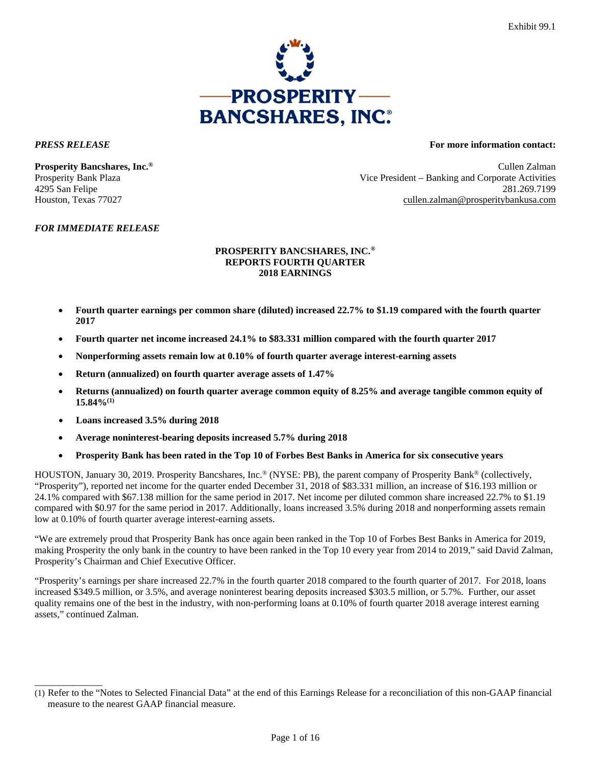

\_\_\_\_\_\_\_\_\_\_\_\_\_\_

#### *PRESS RELEASE* **For more information contact:**

**Prosperity Bancshares, Inc.<sup>®</sup> Cullen Zalman** Prosperity Bank Plaza Vice President – Banking and Corporate Activities 4295 San Felipe 281.269.7199 Houston, Texas 77027 cullen.zalman@prosperitybankusa.com

#### *FOR IMMEDIATE RELEASE*

#### **PROSPERITY BANCSHARES, INC.® REPORTS FOURTH QUARTER 2018 EARNINGS**

- **Fourth quarter earnings per common share (diluted) increased 22.7% to \$1.19 compared with the fourth quarter 2017**
- **Fourth quarter net income increased 24.1% to \$83.331 million compared with the fourth quarter 2017**
- **Nonperforming assets remain low at 0.10% of fourth quarter average interest-earning assets**
- **Return (annualized) on fourth quarter average assets of 1.47%**
- **Returns (annualized) on fourth quarter average common equity of 8.25% and average tangible common equity of 15.84%(1)**
- **Loans increased 3.5% during 2018**
- **Average noninterest-bearing deposits increased 5.7% during 2018**
- **Prosperity Bank has been rated in the Top 10 of Forbes Best Banks in America for six consecutive years**

HOUSTON, January 30, 2019. Prosperity Bancshares, Inc.® (NYSE: PB), the parent company of Prosperity Bank® (collectively, "Prosperity"), reported net income for the quarter ended December 31, 2018 of \$83.331 million, an increase of \$16.193 million or 24.1% compared with \$67.138 million for the same period in 2017. Net income per diluted common share increased 22.7% to \$1.19 compared with \$0.97 for the same period in 2017. Additionally, loans increased 3.5% during 2018 and nonperforming assets remain low at 0.10% of fourth quarter average interest-earning assets.

"We are extremely proud that Prosperity Bank has once again been ranked in the Top 10 of Forbes Best Banks in America for 2019, making Prosperity the only bank in the country to have been ranked in the Top 10 every year from 2014 to 2019," said David Zalman, Prosperity's Chairman and Chief Executive Officer.

"Prosperity's earnings per share increased 22.7% in the fourth quarter 2018 compared to the fourth quarter of 2017. For 2018, loans increased \$349.5 million, or 3.5%, and average noninterest bearing deposits increased \$303.5 million, or 5.7%. Further, our asset quality remains one of the best in the industry, with non-performing loans at 0.10% of fourth quarter 2018 average interest earning assets," continued Zalman.

<sup>(1)</sup> Refer to the "Notes to Selected Financial Data" at the end of this Earnings Release for a reconciliation of this non-GAAP financial measure to the nearest GAAP financial measure.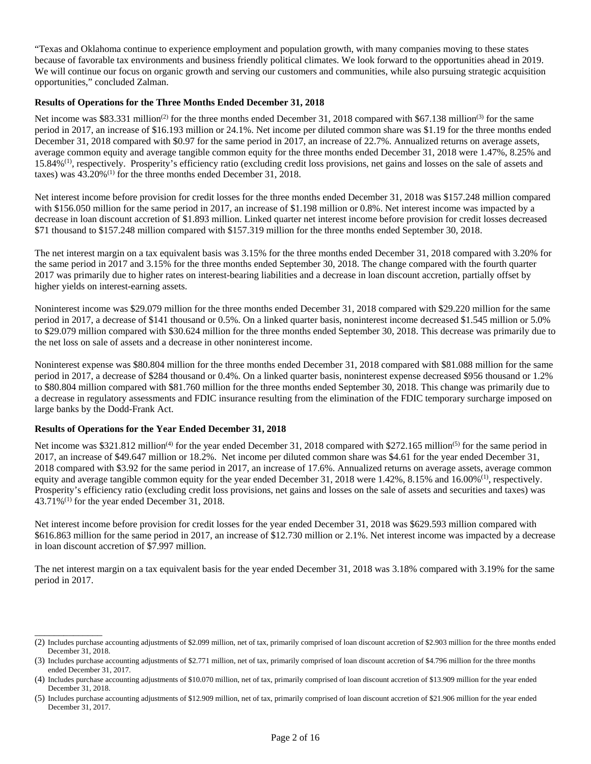"Texas and Oklahoma continue to experience employment and population growth, with many companies moving to these states because of favorable tax environments and business friendly political climates. We look forward to the opportunities ahead in 2019. We will continue our focus on organic growth and serving our customers and communities, while also pursuing strategic acquisition opportunities," concluded Zalman.

#### **Results of Operations for the Three Months Ended December 31, 2018**

Net income was \$83.331 million<sup>(2)</sup> for the three months ended December 31, 2018 compared with \$67.138 million<sup>(3)</sup> for the same period in 2017, an increase of \$16.193 million or 24.1%. Net income per diluted common share was \$1.19 for the three months ended December 31, 2018 compared with \$0.97 for the same period in 2017, an increase of 22.7%. Annualized returns on average assets, average common equity and average tangible common equity for the three months ended December 31, 2018 were 1.47%, 8.25% and 15.84%(1), respectively. Prosperity's efficiency ratio (excluding credit loss provisions, net gains and losses on the sale of assets and taxes) was  $43.20\%$ <sup>(1)</sup> for the three months ended December 31, 2018.

Net interest income before provision for credit losses for the three months ended December 31, 2018 was \$157.248 million compared with \$156.050 million for the same period in 2017, an increase of \$1.198 million or 0.8%. Net interest income was impacted by a decrease in loan discount accretion of \$1.893 million. Linked quarter net interest income before provision for credit losses decreased \$71 thousand to \$157.248 million compared with \$157.319 million for the three months ended September 30, 2018.

The net interest margin on a tax equivalent basis was 3.15% for the three months ended December 31, 2018 compared with 3.20% for the same period in 2017 and 3.15% for the three months ended September 30, 2018. The change compared with the fourth quarter 2017 was primarily due to higher rates on interest-bearing liabilities and a decrease in loan discount accretion, partially offset by higher yields on interest-earning assets.

Noninterest income was \$29.079 million for the three months ended December 31, 2018 compared with \$29.220 million for the same period in 2017, a decrease of \$141 thousand or 0.5%. On a linked quarter basis, noninterest income decreased \$1.545 million or 5.0% to \$29.079 million compared with \$30.624 million for the three months ended September 30, 2018. This decrease was primarily due to the net loss on sale of assets and a decrease in other noninterest income.

Noninterest expense was \$80.804 million for the three months ended December 31, 2018 compared with \$81.088 million for the same period in 2017, a decrease of \$284 thousand or 0.4%. On a linked quarter basis, noninterest expense decreased \$956 thousand or 1.2% to \$80.804 million compared with \$81.760 million for the three months ended September 30, 2018. This change was primarily due to a decrease in regulatory assessments and FDIC insurance resulting from the elimination of the FDIC temporary surcharge imposed on large banks by the Dodd-Frank Act.

#### **Results of Operations for the Year Ended December 31, 2018**

\_\_\_\_\_\_\_\_\_\_\_\_\_\_

Net income was \$321.812 million<sup>(4)</sup> for the year ended December 31, 2018 compared with \$272.165 million<sup>(5)</sup> for the same period in 2017, an increase of \$49.647 million or 18.2%. Net income per diluted common share was \$4.61 for the year ended December 31, 2018 compared with \$3.92 for the same period in 2017, an increase of 17.6%. Annualized returns on average assets, average common equity and average tangible common equity for the year ended December 31, 2018 were  $1.42\%$ ,  $8.15\%$  and  $16.00\%$ <sup>(1)</sup>, respectively. Prosperity's efficiency ratio (excluding credit loss provisions, net gains and losses on the sale of assets and securities and taxes) was 43.71%(1) for the year ended December 31, 2018.

Net interest income before provision for credit losses for the year ended December 31, 2018 was \$629.593 million compared with \$616.863 million for the same period in 2017, an increase of \$12.730 million or 2.1%. Net interest income was impacted by a decrease in loan discount accretion of \$7.997 million.

The net interest margin on a tax equivalent basis for the year ended December 31, 2018 was 3.18% compared with 3.19% for the same period in 2017.

<sup>(2)</sup> Includes purchase accounting adjustments of \$2.099 million, net of tax, primarily comprised of loan discount accretion of \$2.903 million for the three months ended December 31, 2018.

<sup>(3)</sup> Includes purchase accounting adjustments of \$2.771 million, net of tax, primarily comprised of loan discount accretion of \$4.796 million for the three months ended December 31, 2017.

<sup>(4)</sup> Includes purchase accounting adjustments of \$10.070 million, net of tax, primarily comprised of loan discount accretion of \$13.909 million for the year ended December 31, 2018.

<sup>(5)</sup> Includes purchase accounting adjustments of \$12.909 million, net of tax, primarily comprised of loan discount accretion of \$21.906 million for the year ended December 31, 2017.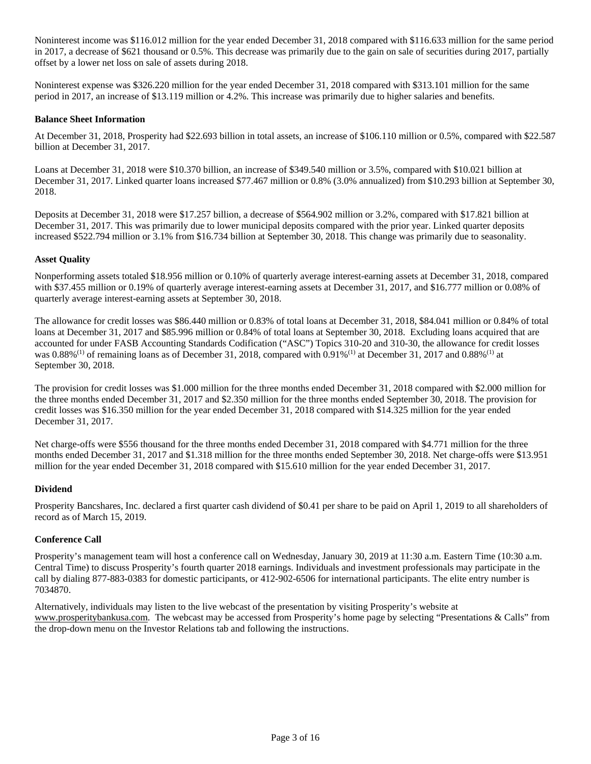Noninterest income was \$116.012 million for the year ended December 31, 2018 compared with \$116.633 million for the same period in 2017, a decrease of \$621 thousand or 0.5%. This decrease was primarily due to the gain on sale of securities during 2017, partially offset by a lower net loss on sale of assets during 2018.

Noninterest expense was \$326.220 million for the year ended December 31, 2018 compared with \$313.101 million for the same period in 2017, an increase of \$13.119 million or 4.2%. This increase was primarily due to higher salaries and benefits.

#### **Balance Sheet Information**

At December 31, 2018, Prosperity had \$22.693 billion in total assets, an increase of \$106.110 million or 0.5%, compared with \$22.587 billion at December 31, 2017.

Loans at December 31, 2018 were \$10.370 billion, an increase of \$349.540 million or 3.5%, compared with \$10.021 billion at December 31, 2017. Linked quarter loans increased \$77.467 million or 0.8% (3.0% annualized) from \$10.293 billion at September 30, 2018.

Deposits at December 31, 2018 were \$17.257 billion, a decrease of \$564.902 million or 3.2%, compared with \$17.821 billion at December 31, 2017. This was primarily due to lower municipal deposits compared with the prior year. Linked quarter deposits increased \$522.794 million or 3.1% from \$16.734 billion at September 30, 2018. This change was primarily due to seasonality.

#### **Asset Quality**

Nonperforming assets totaled \$18.956 million or 0.10% of quarterly average interest-earning assets at December 31, 2018, compared with \$37.455 million or 0.19% of quarterly average interest-earning assets at December 31, 2017, and \$16.777 million or 0.08% of quarterly average interest-earning assets at September 30, 2018.

The allowance for credit losses was \$86.440 million or 0.83% of total loans at December 31, 2018, \$84.041 million or 0.84% of total loans at December 31, 2017 and \$85.996 million or 0.84% of total loans at September 30, 2018. Excluding loans acquired that are accounted for under FASB Accounting Standards Codification ("ASC") Topics 310-20 and 310-30, the allowance for credit losses was  $0.88\%$ <sup>(1)</sup> of remaining loans as of December 31, 2018, compared with  $0.91\%$ <sup>(1)</sup> at December 31, 2017 and  $0.88\%$ <sup>(1)</sup> at September 30, 2018.

The provision for credit losses was \$1.000 million for the three months ended December 31, 2018 compared with \$2.000 million for the three months ended December 31, 2017 and \$2.350 million for the three months ended September 30, 2018. The provision for credit losses was \$16.350 million for the year ended December 31, 2018 compared with \$14.325 million for the year ended December 31, 2017.

Net charge-offs were \$556 thousand for the three months ended December 31, 2018 compared with \$4.771 million for the three months ended December 31, 2017 and \$1.318 million for the three months ended September 30, 2018. Net charge-offs were \$13.951 million for the year ended December 31, 2018 compared with \$15.610 million for the year ended December 31, 2017.

#### **Dividend**

Prosperity Bancshares, Inc. declared a first quarter cash dividend of \$0.41 per share to be paid on April 1, 2019 to all shareholders of record as of March 15, 2019.

#### **Conference Call**

Prosperity's management team will host a conference call on Wednesday, January 30, 2019 at 11:30 a.m. Eastern Time (10:30 a.m. Central Time) to discuss Prosperity's fourth quarter 2018 earnings. Individuals and investment professionals may participate in the call by dialing 877-883-0383 for domestic participants, or 412-902-6506 for international participants. The elite entry number is 7034870.

Alternatively, individuals may listen to the live webcast of the presentation by visiting Prosperity's website at www.prosperitybankusa.com. The webcast may be accessed from Prosperity's home page by selecting "Presentations & Calls" from the drop-down menu on the Investor Relations tab and following the instructions.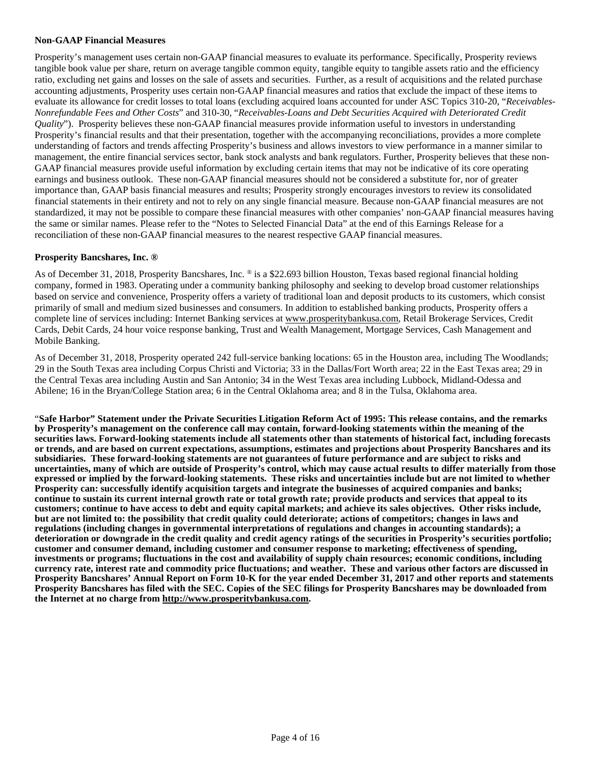#### **Non-GAAP Financial Measures**

Prosperity's management uses certain non-GAAP financial measures to evaluate its performance. Specifically, Prosperity reviews tangible book value per share, return on average tangible common equity, tangible equity to tangible assets ratio and the efficiency ratio, excluding net gains and losses on the sale of assets and securities. Further, as a result of acquisitions and the related purchase accounting adjustments, Prosperity uses certain non-GAAP financial measures and ratios that exclude the impact of these items to evaluate its allowance for credit losses to total loans (excluding acquired loans accounted for under ASC Topics 310-20, "*Receivables-Nonrefundable Fees and Other Costs*" and 310-30, "*Receivables-Loans and Debt Securities Acquired with Deteriorated Credit Quality*"). Prosperity believes these non-GAAP financial measures provide information useful to investors in understanding Prosperity's financial results and that their presentation, together with the accompanying reconciliations, provides a more complete understanding of factors and trends affecting Prosperity's business and allows investors to view performance in a manner similar to management, the entire financial services sector, bank stock analysts and bank regulators. Further, Prosperity believes that these non-GAAP financial measures provide useful information by excluding certain items that may not be indicative of its core operating earnings and business outlook. These non-GAAP financial measures should not be considered a substitute for, nor of greater importance than, GAAP basis financial measures and results; Prosperity strongly encourages investors to review its consolidated financial statements in their entirety and not to rely on any single financial measure. Because non-GAAP financial measures are not standardized, it may not be possible to compare these financial measures with other companies' non-GAAP financial measures having the same or similar names. Please refer to the "Notes to Selected Financial Data" at the end of this Earnings Release for a reconciliation of these non-GAAP financial measures to the nearest respective GAAP financial measures.

#### **Prosperity Bancshares, Inc. ®**

As of December 31, 2018, Prosperity Bancshares, Inc. ® is a \$22.693 billion Houston, Texas based regional financial holding company, formed in 1983. Operating under a community banking philosophy and seeking to develop broad customer relationships based on service and convenience, Prosperity offers a variety of traditional loan and deposit products to its customers, which consist primarily of small and medium sized businesses and consumers. In addition to established banking products, Prosperity offers a complete line of services including: Internet Banking services at www.prosperitybankusa.com, Retail Brokerage Services, Credit Cards, Debit Cards, 24 hour voice response banking, Trust and Wealth Management, Mortgage Services, Cash Management and Mobile Banking.

As of December 31, 2018, Prosperity operated 242 full-service banking locations: 65 in the Houston area, including The Woodlands; 29 in the South Texas area including Corpus Christi and Victoria; 33 in the Dallas/Fort Worth area; 22 in the East Texas area; 29 in the Central Texas area including Austin and San Antonio; 34 in the West Texas area including Lubbock, Midland-Odessa and Abilene; 16 in the Bryan/College Station area; 6 in the Central Oklahoma area; and 8 in the Tulsa, Oklahoma area.

"**Safe Harbor" Statement under the Private Securities Litigation Reform Act of 1995: This release contains, and the remarks by Prosperity's management on the conference call may contain, forward-looking statements within the meaning of the securities laws. Forward-looking statements include all statements other than statements of historical fact, including forecasts or trends, and are based on current expectations, assumptions, estimates and projections about Prosperity Bancshares and its subsidiaries. These forward-looking statements are not guarantees of future performance and are subject to risks and uncertainties, many of which are outside of Prosperity's control, which may cause actual results to differ materially from those expressed or implied by the forward-looking statements. These risks and uncertainties include but are not limited to whether Prosperity can: successfully identify acquisition targets and integrate the businesses of acquired companies and banks; continue to sustain its current internal growth rate or total growth rate; provide products and services that appeal to its customers; continue to have access to debt and equity capital markets; and achieve its sales objectives. Other risks include, but are not limited to: the possibility that credit quality could deteriorate; actions of competitors; changes in laws and regulations (including changes in governmental interpretations of regulations and changes in accounting standards); a deterioration or downgrade in the credit quality and credit agency ratings of the securities in Prosperity's securities portfolio; customer and consumer demand, including customer and consumer response to marketing; effectiveness of spending, investments or programs; fluctuations in the cost and availability of supply chain resources; economic conditions, including currency rate, interest rate and commodity price fluctuations; and weather. These and various other factors are discussed in Prosperity Bancshares' Annual Report on Form 10-K for the year ended December 31, 2017 and other reports and statements Prosperity Bancshares has filed with the SEC. Copies of the SEC filings for Prosperity Bancshares may be downloaded from the Internet at no charge from http://www.prosperitybankusa.com.**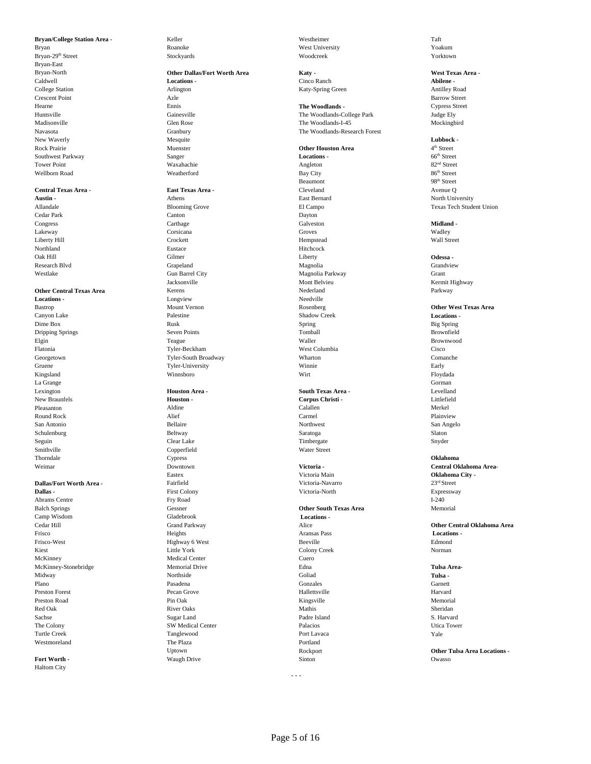Bryan Roanoke Roanoke West University West University West University Roakum Bryan-29<sup>th</sup> Street Text Stockyards Stockyards Stockyards Woodcreek November 2018 Stockyards Stockyards Stockyards Bryan-East Rock Prairie **Area Executive Southwest Parkway Continuing Sampler Continuing Sampler Continuing Continuing Continuing Continuing Sampler Continuing Continuing Continuing Sampler Continuing Continuing Continuing Continuin** Southwest Parkway Sanger **Locations -** 66th Street Tower Point 82<sup>nd</sup> Street Next Angleton Angleton 82<sup>nd</sup> Street Wellborn Road and the Meatherford Weatherford Bay City Bay City Street 86<sup>th</sup> Street

# **Central Texas Area - Cleveland Cleveland 2.1 Cleveland 2.1 Avenue O Cleveland Avenue O Avenue O**

Kingsland Winnsboro Wirt Floydada La Grange Gorman

**Dallas - Expressway First Colony Community Construction** Victoria-North  **Expressway** Abrams Centre **Fry Road Fry Road I-240** Balch Springs **Gessner** Gessner **Community Community Community Community Community Community Community Community Community Community Community Community Community Community Community Community Community Community Community** Frisco-West Highway 6 West Beeville Edmond Kiest Little York Colony Creek Norman McKinney Medical Center Cuero McKinney-Stonebridge Memorial Drive Edna **Tulsa Area-**Midway Northside Goliad **Tulsa -**  Plano **Brandena** Carnett Conzules Conzules Conzules Conzules Carnett Carnett Conzules Conzules Conzules Carnett Preston Forest **1988 Preston Forest** Harvard **Contract Preston Forest** Hallettsville **Harvard** Preston Road **1986 Memorial** Pin Oak 1988 Memorial Christ Ringsville **Christian Memorial** Memorial Red Oak River Oaks Mathis Sheridan Sachse Sugar Land Padre Island S. Harvard The Colony **SW Medical Center Palacios** Palacios  **Utica Tower** Utica Tower Turtle Creek Tanglewood Port Lavaca Yale Westmoreland **The Plaza Contract Contract Portland** Portland **Portland** 

**Fort Worth -** Construction of Construction Construction of Sinten Sinton Construction of Construction of Construction of Construction of Construction of Construction of Construction of Construction of Construction of Cons Haltom City

## Bryan-North **Other Dallas/Fort Worth Area <b>Katy** - **Community Community Area -** *Katy* - *West Texas Area -*Caldwell **Locations -** Cinco Ranch **Abilene -**  College Station Arlington Katy-Spring Green Antilley Road Crescent Point **Azle** Azle **Barrow Street** New Waverly **Lubbock - Lubbock - Mesquite**  $\blacksquare$

**Austin -** The Company of Athens **Austin - Athens Athens** East Bernard East Bernard North University Cedar Park Canton Dayton Congress **Carthage Carthage Carthage Carthage Carthage Carthage Carthage Carthage Carthage Carthage Carthage Carthage Carthage Carthage Carthage Carthage Carthage Carthage Carthage Carthage Carthage Carthage Carthage Carth** Lakeway **Corsicana** Corsicana Groves Groves Corsicana Corsicana Corsicana Corsicana Corsicana Corsicana Corsicana Liberty Hill **Example 20** Crockett **Crockett** And Crockett **Hempstead** Hempstead Wall Street Northland **Eustace** Eustace **Hitchcock Hitchcock** Oak Hill Gilmer Liberty **Odessa -**  Research Blvd Grandview Grapeland Grandview Grandview Magnolia Magnolia Westlake Gun Barrel City Magnolia Parkway Grant Jacksonville Mont Belvieu Kermit Highway **Other Central Texas Area** Kerens Nederland Parkway **Locations - Conserversity Longview Conserversity Conserversity Conserversity Preserversity <b>Needville** Canyon Lake Palestine Shadow Creek **Locations -**  Dime Box Big Spring Rusk Rusk Spring Spring Spring Box Big Spring Spring Spring Box Big Spring Spring Spring Spring Spring Spring Spring Spring Spring Spring Spring Spring Spring Spring Spring Spring Spring Spring Spring S Dripping Springs Seven Points Tomball Brownfield Elgin Teague Waller Brownwood Flatonia Tyler-Beckham West Columbia Cisco Georgetown **Tyler-South Broadway** Wharton **Whate** Whate **Comanche** Gruene Tyler-University Winnie Winnie Early Early

# New Braunfels **Houston - Houston - Corpus Christi** - **Corpus Christi** - **Corpus Christi** - **Callier Callier Merkel** Pleasanton Aldine Calallen Merkel Round Rock **Alief** Alief **Carmel** Carmel **Carmel Carmel Plainview** San Antonio San Angelo (Sellaire Northwest Northwest San Angelo San Angelo (Sentingle San Angelo San Angelo (Sentingle San Angelo San Angelo (Sentingle San Angelo San Angelo San Angelo (Sentingle San Angelo San Angelo San Schulenburg Slaton Seltway Server Server Saratoga Slaton Shahar Slaton Shahar Slaton Slaton Slaton Slaton Slaton Seguin Clear Lake Timbergate Snyder Smithville Copperfield Water Street Thorndale Cypress **Oklahoma**  Eastex Victoria Main **Oklahoma City - Dallas/Fort Worth Area - Fairfield Pairfield Victoria-Navarro** 23<sup>rd</sup> Street **Dallas - 23<sup>rd</sup> Street Dallas - 23<sup>rd</sup> Street Pairfield Victoria-North Expressway**

**Bryan/College Station Area - Keller College Station Area - <b>Westheimer Taft** 

Hearne **Example 2018** Ennis **Ennis Ennis Ennis Propose Street Ennis Ennis Propose Street Ennis Propose Street Ennis** Huntsville Gainesville The Woodlands-College Park Judge Ely The Woodlands-I-45 Navasota Granbury The Woodlands-Research Forest

Beaumont  **198<sup>th</sup>** Street

Lexington **Houston Area - South Texas Area -**  Levelland

### Camp Wisdom Gladebrook **Locations -** Cedar Hill Grand Parkway Alice **Other Central Oklahoma Area**  Frisco Heights Aransas Pass  **Locations -**

Allandale **El Campo Champo Clube Contained Allandale** Texas Tech Student Union

Bastrop Mount Vernon Rosenberg **Other West Texas Area**  Weimar Downtown **Victoria - Central Oklahoma Area-** 

Uptown Rockport **Other Tulsa Area Locations -** 

- - -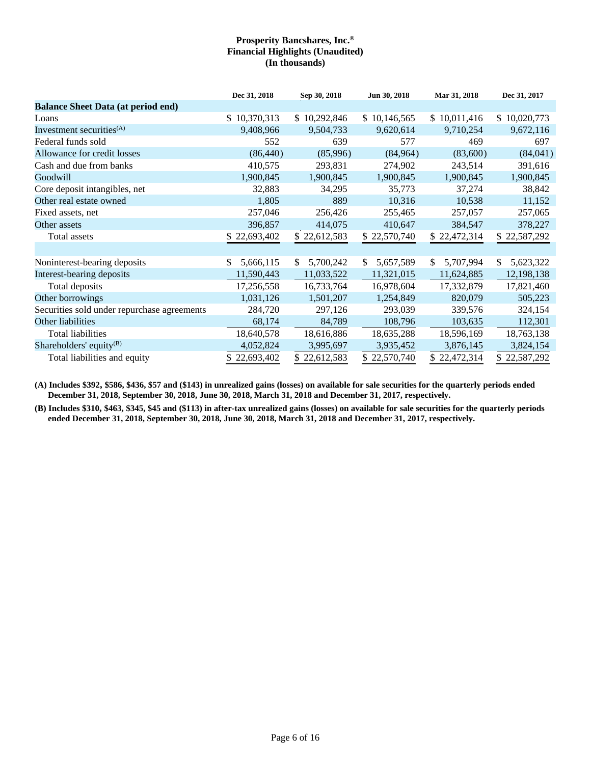|                                             | Dec 31, 2018    | Sep 30, 2018    | Jun 30, 2018     | Mar 31, 2018    | Dec 31, 2017     |
|---------------------------------------------|-----------------|-----------------|------------------|-----------------|------------------|
| <b>Balance Sheet Data (at period end)</b>   |                 |                 |                  |                 |                  |
| Loans                                       | \$10,370,313    | \$10,292,846    | \$10,146,565     | \$10,011,416    | \$10,020,773     |
| Investment securities <sup>(A)</sup>        | 9,408,966       | 9,504,733       | 9,620,614        | 9,710,254       | 9,672,116        |
| Federal funds sold                          | 552             | 639             | 577              | 469             | 697              |
| Allowance for credit losses                 | (86, 440)       | (85,996)        | (84, 964)        | (83,600)        | (84,041)         |
| Cash and due from banks                     | 410,575         | 293,831         | 274,902          | 243,514         | 391,616          |
| Goodwill                                    | 1,900,845       | 1,900,845       | 1,900,845        | 1,900,845       | 1,900,845        |
| Core deposit intangibles, net               | 32,883          | 34,295          | 35,773           | 37,274          | 38,842           |
| Other real estate owned                     | 1,805           | 889             | 10,316           | 10,538          | 11,152           |
| Fixed assets, net                           | 257,046         | 256,426         | 255,465          | 257,057         | 257,065          |
| Other assets                                | 396,857         | 414,075         | 410,647          | 384,547         | 378,227          |
| Total assets                                | \$22,693,402    | \$22,612,583    | 22,570,740<br>\$ | \$22,472,314    | \$22,587,292     |
|                                             |                 |                 |                  |                 |                  |
| Noninterest-bearing deposits                | 5,666,115<br>\$ | 5,700,242<br>\$ | 5,657,589<br>\$  | 5,707,994<br>\$ | 5,623,322<br>\$. |
| Interest-bearing deposits                   | 11,590,443      | 11,033,522      | 11,321,015       | 11,624,885      | 12,198,138       |
| Total deposits                              | 17,256,558      | 16,733,764      | 16,978,604       | 17,332,879      | 17,821,460       |
| Other borrowings                            | 1,031,126       | 1,501,207       | 1,254,849        | 820,079         | 505,223          |
| Securities sold under repurchase agreements | 284,720         | 297,126         | 293,039          | 339,576         | 324,154          |
| Other liabilities                           | 68,174          | 84,789          | 108,796          | 103,635         | 112,301          |
| <b>Total liabilities</b>                    | 18,640,578      | 18,616,886      | 18,635,288       | 18,596,169      | 18,763,138       |
| Shareholders' equity <sup>(B)</sup>         | 4,052,824       | 3,995,697       | 3,935,452        | 3,876,145       | 3,824,154        |
| Total liabilities and equity                | \$22,693,402    | \$22,612,583    | 22,570,740       | \$22,472,314    | \$22,587,292     |

**(A) Includes \$392, \$586, \$436, \$57 and (\$143) in unrealized gains (losses) on available for sale securities for the quarterly periods ended December 31, 2018, September 30, 2018, June 30, 2018, March 31, 2018 and December 31, 2017, respectively.** 

**(B) Includes \$310, \$463, \$345, \$45 and (\$113) in after-tax unrealized gains (losses) on available for sale securities for the quarterly periods ended December 31, 2018, September 30, 2018, June 30, 2018, March 31, 2018 and December 31, 2017, respectively.**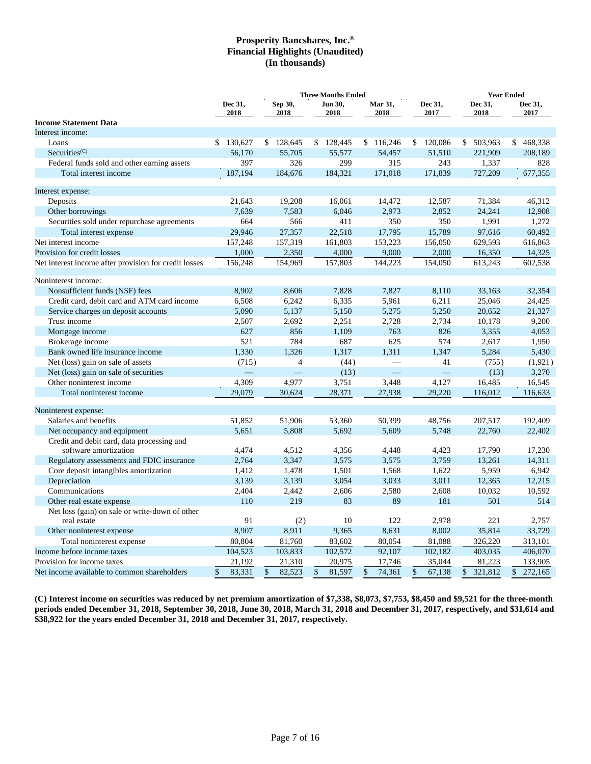|                                                       | <b>Three Months Ended</b> |    |                 |    |                 |    |                 |              |                 |    | <b>Year Ended</b> |    |                 |  |
|-------------------------------------------------------|---------------------------|----|-----------------|----|-----------------|----|-----------------|--------------|-----------------|----|-------------------|----|-----------------|--|
|                                                       | Dec 31,<br>2018           |    | Sep 30,<br>2018 |    | Jun 30,<br>2018 |    | Mar 31,<br>2018 |              | Dec 31,<br>2017 |    | Dec 31,<br>2018   |    | Dec 31,<br>2017 |  |
| <b>Income Statement Data</b>                          |                           |    |                 |    |                 |    |                 |              |                 |    |                   |    |                 |  |
| Interest income:                                      |                           |    |                 |    |                 |    |                 |              |                 |    |                   |    |                 |  |
| Loans                                                 | 130,627<br>\$             |    | \$128,645       |    | \$128,445       |    | \$116,246       | $\mathbb{S}$ | 120,086         |    | \$ 503,963        |    | \$468,338       |  |
| Securities <sup>(C)</sup>                             | 56,170                    |    | 55,705          |    | 55,577          |    | 54,457          |              | 51,510          |    | 221,909           |    | 208,189         |  |
| Federal funds sold and other earning assets           | 397                       |    | 326             |    | 299             |    | 315             |              | 243             |    | 1,337             |    | 828             |  |
| Total interest income                                 | 187,194                   |    | 184,676         |    | 184,321         |    | 171,018         |              | 171,839         |    | 727,209           |    | 677,355         |  |
| Interest expense:                                     |                           |    |                 |    |                 |    |                 |              |                 |    |                   |    |                 |  |
| Deposits                                              | 21.643                    |    | 19,208          |    | 16,061          |    | 14,472          |              | 12,587          |    | 71,384            |    | 46.312          |  |
| Other borrowings                                      | 7,639                     |    | 7,583           |    | 6,046           |    | 2,973           |              | 2,852           |    | 24,241            |    | 12,908          |  |
| Securities sold under repurchase agreements           | 664                       |    | 566             |    | 411             |    | 350             |              | 350             |    | 1,991             |    | 1,272           |  |
| Total interest expense                                | 29,946                    |    | 27,357          |    | 22,518          |    | 17,795          |              | 15,789          |    | 97,616            |    | 60,492          |  |
| Net interest income                                   | 157,248                   |    | 157,319         |    | 161,803         |    | 153,223         |              | 156,050         |    | 629,593           |    | 616,863         |  |
| Provision for credit losses                           | 1,000                     |    | 2,350           |    | 4,000           |    | 9,000           |              | 2,000           |    | 16,350            |    | 14,325          |  |
| Net interest income after provision for credit losses | 156,248                   |    | 154,969         |    | 157,803         |    | 144,223         |              | 154,050         |    | 613,243           |    | 602,538         |  |
| Noninterest income:                                   |                           |    |                 |    |                 |    |                 |              |                 |    |                   |    |                 |  |
| Nonsufficient funds (NSF) fees                        | 8,902                     |    | 8,606           |    | 7,828           |    | 7,827           |              | 8,110           |    | 33,163            |    | 32,354          |  |
| Credit card, debit card and ATM card income           | 6,508                     |    | 6,242           |    | 6,335           |    | 5,961           |              | 6,211           |    | 25,046            |    | 24,425          |  |
| Service charges on deposit accounts                   | 5,090                     |    | 5,137           |    | 5,150           |    | 5,275           |              | 5,250           |    | 20,652            |    | 21,327          |  |
| Trust income                                          | 2,507                     |    | 2,692           |    | 2,251           |    | 2,728           |              | 2,734           |    | 10,178            |    | 9,200           |  |
| Mortgage income                                       | 627                       |    | 856             |    | 1,109           |    | 763             |              | 826             |    | 3,355             |    | 4,053           |  |
| Brokerage income                                      | 521                       |    | 784             |    | 687             |    | 625             |              | 574             |    | 2,617             |    | 1,950           |  |
| Bank owned life insurance income                      | 1,330                     |    | 1,326           |    | 1,317           |    | 1,311           |              | 1,347           |    | 5,284             |    | 5,430           |  |
| Net (loss) gain on sale of assets                     | (715)                     |    | $\overline{4}$  |    | (44)            |    | ÷.              |              | 41              |    | (755)             |    | (1,921)         |  |
| Net (loss) gain on sale of securities                 |                           |    |                 |    | (13)            |    |                 |              | $\qquad \qquad$ |    | (13)              |    | 3,270           |  |
| Other noninterest income                              | 4,309                     |    | 4,977           |    | 3,751           |    | 3,448           |              | 4,127           |    | 16,485            |    | 16,545          |  |
| Total noninterest income                              | 29,079                    |    | 30,624          |    | 28,371          |    | 27,938          |              | 29,220          |    | 116,012           |    | 116,633         |  |
| Noninterest expense:                                  |                           |    |                 |    |                 |    |                 |              |                 |    |                   |    |                 |  |
| Salaries and benefits                                 | 51,852                    |    | 51,906          |    | 53,360          |    | 50,399          |              | 48,756          |    | 207,517           |    | 192,409         |  |
| Net occupancy and equipment                           | 5,651                     |    | 5,808           |    | 5,692           |    | 5,609           |              | 5,748           |    | 22,760            |    | 22,402          |  |
| Credit and debit card, data processing and            |                           |    |                 |    |                 |    |                 |              |                 |    |                   |    |                 |  |
| software amortization                                 | 4,474                     |    | 4,512           |    | 4,356           |    | 4,448           |              | 4,423           |    | 17,790            |    | 17,230          |  |
| Regulatory assessments and FDIC insurance             | 2,764                     |    | 3,347           |    | 3,575           |    | 3,575           |              | 3,759           |    | 13,261            |    | 14,311          |  |
| Core deposit intangibles amortization                 | 1,412                     |    | 1,478           |    | 1,501           |    | 1,568           |              | 1,622           |    | 5,959             |    | 6,942           |  |
| Depreciation                                          | 3,139                     |    | 3,139           |    | 3,054           |    | 3,033           |              | 3,011           |    | 12,365            |    | 12,215          |  |
| Communications                                        | 2,404                     |    | 2,442           |    | 2,606           |    | 2,580           |              | 2,608           |    | 10,032            |    | 10,592          |  |
| Other real estate expense                             | 110                       |    | 219             |    | 83              |    | 89              |              | 181             |    | 501               |    | 514             |  |
| Net loss (gain) on sale or write-down of other        |                           |    |                 |    |                 |    |                 |              |                 |    |                   |    |                 |  |
| real estate                                           | 91                        |    | (2)             |    | 10              |    | 122             |              | 2,978           |    | 221               |    | 2,757           |  |
| Other noninterest expense                             | 8,907                     |    | 8,911           |    | 9,365           |    | 8,631           |              | 8,002           |    | 35,814            |    | 33,729          |  |
| Total noninterest expense                             | 80,804                    |    | 81,760          |    | 83,602          |    | 80,054          |              | 81,088          |    | 326,220           |    | 313,101         |  |
| Income before income taxes                            | 104,523                   |    | 103,833         |    | 102,572         |    | 92,107          |              | 102,182         |    | 403,035           |    | 406,070         |  |
| Provision for income taxes                            | 21,192                    |    | 21,310          |    | 20,975          |    | 17,746          |              | 35,044          |    | 81,223            |    | 133,905         |  |
| Net income available to common shareholders           | 83,331<br>\$              | \$ | 82,523          | \$ | 81,597          | \$ | 74,361          | \$           | 67,138          | \$ | 321,812           | \$ | 272,165         |  |

**(C) Interest income on securities was reduced by net premium amortization of \$7,338, \$8,073, \$7,753, \$8,450 and \$9,521 for the three-month periods ended December 31, 2018, September 30, 2018, June 30, 2018, March 31, 2018 and December 31, 2017, respectively, and \$31,614 and \$38,922 for the years ended December 31, 2018 and December 31, 2017, respectively.**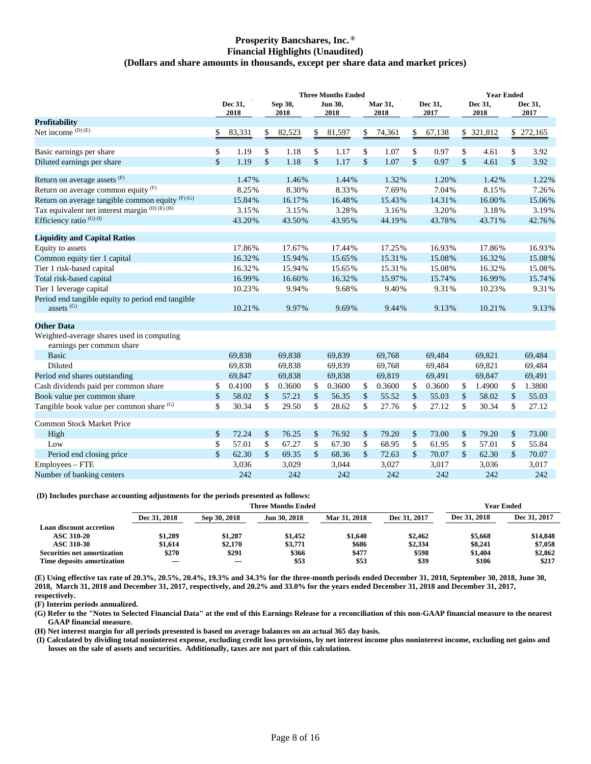#### **Prosperity Bancshares, Inc. ® Financial Highlights (Unaudited) (Dollars and share amounts in thousands, except per share data and market prices)**

|                                                                        | <b>Three Months Ended</b> |                 |               |                 |               |                        |               | <b>Year Ended</b>      |               |                 |    |                 |               |                 |
|------------------------------------------------------------------------|---------------------------|-----------------|---------------|-----------------|---------------|------------------------|---------------|------------------------|---------------|-----------------|----|-----------------|---------------|-----------------|
|                                                                        |                           | Dec 31,<br>2018 |               | Sep 30,<br>2018 |               | <b>Jun 30,</b><br>2018 |               | <b>Mar 31,</b><br>2018 |               | Dec 31,<br>2017 |    | Dec 31,<br>2018 |               | Dec 31,<br>2017 |
| <b>Profitability</b>                                                   |                           |                 |               |                 |               |                        |               |                        |               |                 |    |                 |               |                 |
| Net income (D) (E)                                                     | \$                        | 83,331          | \$            | 82,523          | \$            | 81,597                 | \$            | 74,361                 | \$            | 67,138          |    | \$ 321,812      |               | \$ 272,165      |
| Basic earnings per share                                               | \$                        | 1.19            | \$            | 1.18            | \$            | 1.17                   | \$            | 1.07                   | \$            | 0.97            | \$ | 4.61            | \$            | 3.92            |
| Diluted earnings per share                                             | $\mathbf{\hat{S}}$        | 1.19            | $\mathcal{S}$ | 1.18            | $\mathsf{\$}$ | 1.17                   | $\mathsf{\$}$ | 1.07                   | $\mathsf{\$}$ | 0.97            | \$ | 4.61            | $\mathsf{\$}$ | 3.92            |
| Return on average assets (F)                                           |                           | 1.47%           |               | 1.46%           |               | 1.44%                  |               | 1.32%                  |               | 1.20%           |    | 1.42%           |               | 1.22%           |
| Return on average common equity $(F)$                                  |                           | 8.25%           |               | 8.30%           |               | 8.33%                  |               | 7.69%                  |               | 7.04%           |    | 8.15%           |               | 7.26%           |
| Return on average tangible common equity $(F)$ (G)                     |                           | 15.84%          |               | 16.17%          |               | 16.48%                 |               | 15.43%                 |               | 14.31%          |    | 16.00%          |               | 15.06%          |
| Tax equivalent net interest margin <sup>(D)</sup> (E) <sup>(H)</sup>   |                           | 3.15%           |               | 3.15%           |               | 3.28%                  |               | 3.16%                  |               | 3.20%           |    | 3.18%           |               | 3.19%           |
| Efficiency ratio <sup>(G)(I)</sup>                                     |                           | 43.20%          |               | 43.50%          |               | 43.95%                 |               | 44.19%                 |               | 43.78%          |    | 43.71%          |               | 42.76%          |
| <b>Liquidity and Capital Ratios</b>                                    |                           |                 |               |                 |               |                        |               |                        |               |                 |    |                 |               |                 |
| Equity to assets                                                       |                           | 17.86%          |               | 17.67%          |               | 17.44%                 |               | 17.25%                 |               | 16.93%          |    | 17.86%          |               | 16.93%          |
| Common equity tier 1 capital                                           |                           | 16.32%          |               | 15.94%          |               | 15.65%                 |               | 15.31%                 |               | 15.08%          |    | 16.32%          |               | 15.08%          |
| Tier 1 risk-based capital                                              |                           | 16.32%          |               | 15.94%          |               | 15.65%                 |               | 15.31%                 |               | 15.08%          |    | 16.32%          |               | 15.08%          |
| Total risk-based capital                                               |                           | 16.99%          |               | 16.60%          |               | 16.32%                 |               | 15.97%                 |               | 15.74%          |    | 16.99%          |               | 15.74%          |
| Tier 1 leverage capital                                                |                           | 10.23%          |               | 9.94%           |               | 9.68%                  |               | 9.40%                  |               | 9.31%           |    | 10.23%          |               | 9.31%           |
| Period end tangible equity to period end tangible<br>assets $(G)$      |                           | 10.21%          |               | 9.97%           |               | 9.69%                  |               | 9.44%                  |               | 9.13%           |    | 10.21%          |               | 9.13%           |
| <b>Other Data</b>                                                      |                           |                 |               |                 |               |                        |               |                        |               |                 |    |                 |               |                 |
| Weighted-average shares used in computing<br>earnings per common share |                           |                 |               |                 |               |                        |               |                        |               |                 |    |                 |               |                 |
| <b>Basic</b>                                                           |                           | 69,838          |               | 69,838          |               | 69.839                 |               | 69,768                 |               | 69.484          |    | 69.821          |               | 69.484          |
| Diluted                                                                |                           | 69,838          |               | 69,838          |               | 69,839                 |               | 69,768                 |               | 69,484          |    | 69,821          |               | 69,484          |
| Period end shares outstanding                                          |                           | 69,847          |               | 69,838          |               | 69,838                 |               | 69,819                 |               | 69,491          |    | 69,847          |               | 69,491          |
| Cash dividends paid per common share                                   | \$                        | 0.4100          | \$            | 0.3600          | \$            | 0.3600                 | \$            | 0.3600                 | \$            | 0.3600          | \$ | 1.4900          | \$            | 1.3800          |
| Book value per common share                                            | \$                        | 58.02           | $\mathcal{S}$ | 57.21           | \$            | 56.35                  | $\mathsf{\$}$ | 55.52                  | \$            | 55.03           | \$ | 58.02           | \$            | 55.03           |
| Tangible book value per common share (G)                               | \$                        | 30.34           | \$            | 29.50           | \$            | 28.62                  | \$            | 27.76                  | \$            | 27.12           | \$ | 30.34           | \$            | 27.12           |
| <b>Common Stock Market Price</b>                                       |                           |                 |               |                 |               |                        |               |                        |               |                 |    |                 |               |                 |
| High                                                                   | \$                        | 72.24           | \$            | 76.25           | \$            | 76.92                  | \$            | 79.20                  | \$            | 73.00           | \$ | 79.20           | $\mathsf{\$}$ | 73.00           |
| Low                                                                    | \$                        | 57.01           | \$            | 67.27           | \$            | 67.30                  | \$            | 68.95                  | \$            | 61.95           | \$ | 57.01           | $\mathsf{\$}$ | 55.84           |
| Period end closing price                                               | \$                        | 62.30           | \$            | 69.35           | \$            | 68.36                  | $\mathsf{\$}$ | 72.63                  | \$            | 70.07           | \$ | 62.30           | \$            | 70.07           |
| Employees - FTE                                                        |                           | 3,036           |               | 3,029           |               | 3,044                  |               | 3,027                  |               | 3,017           |    | 3,036           |               | 3,017           |
| Number of banking centers                                              |                           | 242             |               | 242             |               | 242                    |               | 242                    |               | 242             |    | 242             |               | 242             |

#### **(D) Includes purchase accounting adjustments for the periods presented as follows:**

|                                    |              |              | Year Ended   |              |              |              |              |
|------------------------------------|--------------|--------------|--------------|--------------|--------------|--------------|--------------|
|                                    | Dec 31, 2018 | Sep 30, 2018 | Jun 30, 2018 | Mar 31, 2018 | Dec 31, 2017 | Dec 31, 2018 | Dec 31, 2017 |
| <b>Loan discount accretion</b>     |              |              |              |              |              |              |              |
| <b>ASC 310-20</b>                  | \$1,289      | \$1.287      | \$1,452      | \$1,640      | \$2,462      | \$5,668      | \$14,848     |
| <b>ASC 310-30</b>                  | \$1.614      | \$2.170      | \$3,771      | \$686        | \$2,334      | \$8,241      | \$7,058      |
| <b>Securities net amortization</b> | \$270        | \$291        | \$366        | \$477        | \$598        | \$1,404      | \$2,862      |
| Time deposits amortization         |              |              | \$53         | \$53         | \$39         | \$106        | \$217        |

**(E) Using effective tax rate of 20.3%, 20.5%, 20.4%, 19.3% and 34.3% for the three-month periods ended December 31, 2018, September 30, 2018, June 30, 2018, March 31, 2018 and December 31, 2017, respectively, and 20.2% and 33.0% for the years ended December 31, 2018 and December 31, 2017, respectively.** 

**(F) Interim periods annualized.** 

**(G) Refer to the "Notes to Selected Financial Data" at the end of this Earnings Release for a reconciliation of this non-GAAP financial measure to the nearest GAAP financial measure.** 

**(H) Net interest margin for all periods presented is based on average balances on an actual 365 day basis.** 

 **(I) Calculated by dividing total noninterest expense, excluding credit loss provisions, by net interest income plus noninterest income, excluding net gains and losses on the sale of assets and securities. Additionally, taxes are not part of this calculation.**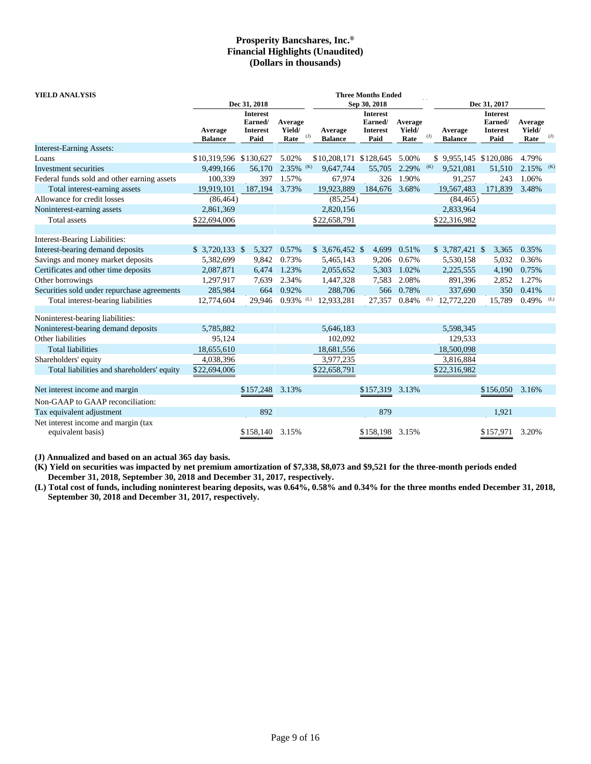| YIELD ANALYSIS<br><b>Three Months Ended</b>              |                        |                            |                         |                                |                            |         |                                              |                            |              |     |  |
|----------------------------------------------------------|------------------------|----------------------------|-------------------------|--------------------------------|----------------------------|---------|----------------------------------------------|----------------------------|--------------|-----|--|
|                                                          |                        | Dec 31, 2018               |                         |                                | Sep 30, 2018               |         | Dec 31, 2017                                 |                            |              |     |  |
|                                                          |                        | <b>Interest</b><br>Earned/ | Average                 |                                | <b>Interest</b><br>Earned/ | Average |                                              | <b>Interest</b><br>Earned/ | Average      |     |  |
|                                                          | Average                | <b>Interest</b>            | Yield/                  | Average                        | <b>Interest</b>            | Yield/  | Average                                      | <b>Interest</b>            | Yield/       |     |  |
|                                                          | <b>Balance</b>         | Paid                       | Rate                    | $_{\rm (J)}$<br><b>Balance</b> | Paid                       | Rate    | $\left( \mathrm{J}\right)$<br><b>Balance</b> | Paid                       | Rate         | (J) |  |
| <b>Interest-Earning Assets:</b>                          |                        |                            |                         |                                |                            |         |                                              |                            |              |     |  |
| Loans                                                    | \$10,319,596 \$130,627 |                            | 5.02%                   | \$10,208,171 \$128,645         |                            | 5.00%   | \$9,955,145 \$120,086                        |                            | 4.79%        |     |  |
| Investment securities                                    | 9.499.166              | 56,170                     | $2.35\%$ (K)            | 9,647,744                      | 55,705                     | 2.29%   | (K)<br>9.521.081                             | 51,510                     | $2.15\%$ (K) |     |  |
| Federal funds sold and other earning assets              | 100,339                | 397                        | 1.57%                   | 67,974                         | 326                        | 1.90%   | 91,257                                       | 243                        | 1.06%        |     |  |
| Total interest-earning assets                            | 19,919,101             | 187,194                    | 3.73%                   | 19,923,889                     | 184,676 3.68%              |         | 19,567,483                                   | 171,839                    | 3.48%        |     |  |
| Allowance for credit losses                              | (86, 464)              |                            |                         | (85, 254)                      |                            |         | (84, 465)                                    |                            |              |     |  |
| Noninterest-earning assets                               | 2,861,369              |                            |                         | 2,820,156                      |                            |         | 2,833,964                                    |                            |              |     |  |
| Total assets                                             | \$22,694,006           |                            |                         | \$22,658,791                   |                            |         | \$22,316,982                                 |                            |              |     |  |
|                                                          |                        |                            |                         |                                |                            |         |                                              |                            |              |     |  |
| Interest-Bearing Liabilities:                            |                        |                            |                         |                                |                            |         |                                              |                            |              |     |  |
| Interest-bearing demand deposits                         | $$3,720,133$ \;        | 5,327                      | 0.57%                   | $$3,676,452$ \$                | 4,699                      | 0.51%   | $$3,787,421$ \$                              | 3,365                      | 0.35%        |     |  |
| Savings and money market deposits                        | 5,382,699              | 9,842                      | 0.73%                   | 5,465,143                      | 9,206                      | 0.67%   | 5,530,158                                    | 5,032                      | 0.36%        |     |  |
| Certificates and other time deposits                     | 2,087,871              | 6,474                      | 1.23%                   | 2,055,652                      | 5,303                      | 1.02%   | 2,225,555                                    | 4,190                      | 0.75%        |     |  |
| Other borrowings                                         | 1,297,917              | 7,639                      | 2.34%                   | 1,447,328                      | 7,583                      | 2.08%   | 891,396                                      | 2,852                      | 1.27%        |     |  |
| Securities sold under repurchase agreements              | 285,984                | 664                        | 0.92%                   | 288,706                        | 566                        | 0.78%   | 337,690                                      | 350                        | 0.41%        |     |  |
| Total interest-bearing liabilities                       | 12,774,604             | 29,946                     | $0.93\%$ <sup>(L)</sup> | 12,933,281                     | 27,357                     | 0.84%   | (L)<br>12,772,220                            | 15,789                     | 0.49%        | (L) |  |
|                                                          |                        |                            |                         |                                |                            |         |                                              |                            |              |     |  |
| Noninterest-bearing liabilities:                         |                        |                            |                         |                                |                            |         |                                              |                            |              |     |  |
| Noninterest-bearing demand deposits                      | 5,785,882              |                            |                         | 5,646,183                      |                            |         | 5,598,345                                    |                            |              |     |  |
| Other liabilities                                        | 95,124                 |                            |                         | 102,092                        |                            |         | 129,533                                      |                            |              |     |  |
| <b>Total liabilities</b>                                 | 18,655,610             |                            |                         | 18,681,556                     |                            |         | 18,500,098                                   |                            |              |     |  |
| Shareholders' equity                                     | 4,038,396              |                            |                         | 3,977,235                      |                            |         | 3,816,884                                    |                            |              |     |  |
| Total liabilities and shareholders' equity               | \$22,694,006           |                            |                         | \$22,658,791                   |                            |         | \$22,316,982                                 |                            |              |     |  |
| Net interest income and margin                           |                        | \$157,248                  | 3.13%                   |                                | \$157,319                  | 3.13%   |                                              | \$156,050                  | 3.16%        |     |  |
| Non-GAAP to GAAP reconciliation:                         |                        |                            |                         |                                |                            |         |                                              |                            |              |     |  |
| Tax equivalent adjustment                                |                        | 892                        |                         |                                | 879                        |         |                                              | 1,921                      |              |     |  |
|                                                          |                        |                            |                         |                                |                            |         |                                              |                            |              |     |  |
| Net interest income and margin (tax<br>equivalent basis) |                        | \$158,140                  | 3.15%                   |                                | \$158,198                  | 3.15%   |                                              | \$157,971                  | 3.20%        |     |  |

**(J) Annualized and based on an actual 365 day basis.** 

**(K) Yield on securities was impacted by net premium amortization of \$7,338, \$8,073 and \$9,521 for the three-month periods ended December 31, 2018, September 30, 2018 and December 31, 2017, respectively.** 

**(L) Total cost of funds, including noninterest bearing deposits, was 0.64%, 0.58% and 0.34% for the three months ended December 31, 2018, September 30, 2018 and December 31, 2017, respectively.**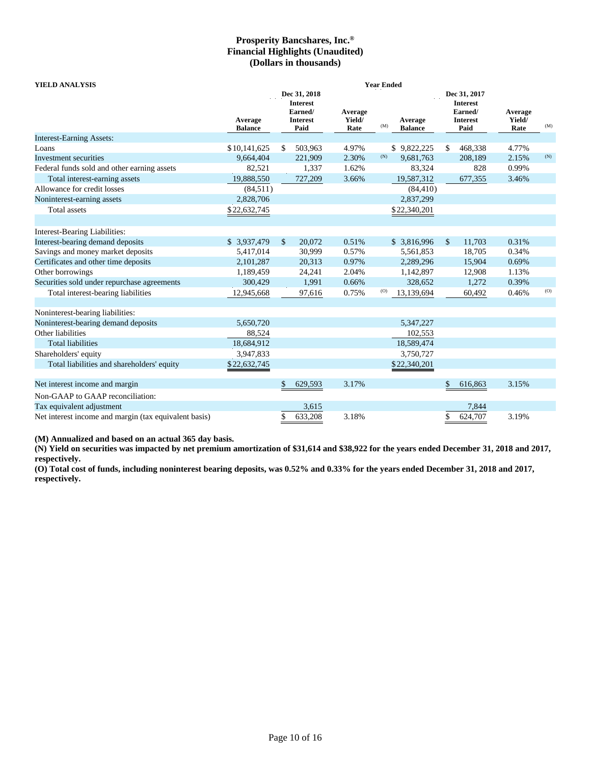| <b>YIELD ANALYSIS</b>                                 | <b>Year Ended</b>         |                                                       |              |                           |     |                           |              |                                                       |                           |     |  |  |  |  |
|-------------------------------------------------------|---------------------------|-------------------------------------------------------|--------------|---------------------------|-----|---------------------------|--------------|-------------------------------------------------------|---------------------------|-----|--|--|--|--|
|                                                       |                           |                                                       | Dec 31, 2018 |                           |     |                           | Dec 31, 2017 |                                                       |                           |     |  |  |  |  |
|                                                       | Average<br><b>Balance</b> | <b>Interest</b><br>Earned/<br><b>Interest</b><br>Paid |              | Average<br>Yield/<br>Rate | (M) | Average<br><b>Balance</b> |              | <b>Interest</b><br>Earned/<br><b>Interest</b><br>Paid | Average<br>Yield/<br>Rate | (M) |  |  |  |  |
| <b>Interest-Earning Assets:</b>                       |                           |                                                       |              |                           |     |                           |              |                                                       |                           |     |  |  |  |  |
| Loans                                                 | \$10,141,625              | \$                                                    | 503,963      | 4.97%                     |     | \$9,822,225               | \$           | 468,338                                               | 4.77%                     |     |  |  |  |  |
| Investment securities                                 | 9,664,404                 |                                                       | 221,909      | 2.30%                     | (N) | 9,681,763                 |              | 208,189                                               | 2.15%                     | (N) |  |  |  |  |
| Federal funds sold and other earning assets           | 82,521                    |                                                       | 1,337        | 1.62%                     |     | 83,324                    |              | 828                                                   | 0.99%                     |     |  |  |  |  |
| Total interest-earning assets                         | 19,888,550                |                                                       | 727,209      | 3.66%                     |     | 19,587,312                |              | 677,355                                               | 3.46%                     |     |  |  |  |  |
| Allowance for credit losses                           | (84,511)                  |                                                       |              |                           |     | (84, 410)                 |              |                                                       |                           |     |  |  |  |  |
| Noninterest-earning assets                            | 2,828,706                 |                                                       |              |                           |     | 2,837,299                 |              |                                                       |                           |     |  |  |  |  |
| Total assets                                          | \$22,632,745              |                                                       |              |                           |     | \$22,340,201              |              |                                                       |                           |     |  |  |  |  |
|                                                       |                           |                                                       |              |                           |     |                           |              |                                                       |                           |     |  |  |  |  |
| Interest-Bearing Liabilities:                         |                           |                                                       |              |                           |     |                           |              |                                                       |                           |     |  |  |  |  |
| Interest-bearing demand deposits                      | \$ 3,937,479              | $\mathbb{S}$                                          | 20,072       | 0.51%                     |     | \$3,816,996               | $\mathbb{S}$ | 11,703                                                | 0.31%                     |     |  |  |  |  |
| Savings and money market deposits                     | 5,417,014                 |                                                       | 30,999       | 0.57%                     |     | 5,561,853                 |              | 18,705                                                | 0.34%                     |     |  |  |  |  |
| Certificates and other time deposits                  | 2,101,287                 |                                                       | 20,313       | 0.97%                     |     | 2,289,296                 |              | 15,904                                                | 0.69%                     |     |  |  |  |  |
| Other borrowings                                      | 1,189,459                 |                                                       | 24,241       | 2.04%                     |     | 1,142,897                 |              | 12,908                                                | 1.13%                     |     |  |  |  |  |
| Securities sold under repurchase agreements           | 300,429                   |                                                       | 1,991        | 0.66%                     |     | 328,652                   |              | 1,272                                                 | 0.39%                     |     |  |  |  |  |
| Total interest-bearing liabilities                    | 12,945,668                |                                                       | 97,616       | 0.75%                     | (O) | 13,139,694                |              | 60,492                                                | 0.46%                     | (O) |  |  |  |  |
|                                                       |                           |                                                       |              |                           |     |                           |              |                                                       |                           |     |  |  |  |  |
| Noninterest-bearing liabilities:                      |                           |                                                       |              |                           |     |                           |              |                                                       |                           |     |  |  |  |  |
| Noninterest-bearing demand deposits                   | 5,650,720                 |                                                       |              |                           |     | 5,347,227                 |              |                                                       |                           |     |  |  |  |  |
| Other liabilities                                     | 88,524                    |                                                       |              |                           |     | 102,553                   |              |                                                       |                           |     |  |  |  |  |
| <b>Total liabilities</b>                              | 18,684,912                |                                                       |              |                           |     | 18,589,474                |              |                                                       |                           |     |  |  |  |  |
| Shareholders' equity                                  | 3,947,833                 |                                                       |              |                           |     | 3,750,727                 |              |                                                       |                           |     |  |  |  |  |
| Total liabilities and shareholders' equity            | \$22,632,745              |                                                       |              |                           |     | \$22,340,201              |              |                                                       |                           |     |  |  |  |  |
| Net interest income and margin                        |                           | \$                                                    | 629,593      | 3.17%                     |     |                           | \$           | 616,863                                               | 3.15%                     |     |  |  |  |  |
|                                                       |                           |                                                       |              |                           |     |                           |              |                                                       |                           |     |  |  |  |  |
| Non-GAAP to GAAP reconciliation:                      |                           |                                                       |              |                           |     |                           |              |                                                       |                           |     |  |  |  |  |
| Tax equivalent adjustment                             |                           |                                                       | 3,615        |                           |     |                           |              | 7,844                                                 |                           |     |  |  |  |  |
| Net interest income and margin (tax equivalent basis) |                           | \$                                                    | 633,208      | 3.18%                     |     |                           | \$           | 624,707                                               | 3.19%                     |     |  |  |  |  |

**(M) Annualized and based on an actual 365 day basis.** 

**(N) Yield on securities was impacted by net premium amortization of \$31,614 and \$38,922 for the years ended December 31, 2018 and 2017, respectively.** 

**(O) Total cost of funds, including noninterest bearing deposits, was 0.52% and 0.33% for the years ended December 31, 2018 and 2017, respectively.**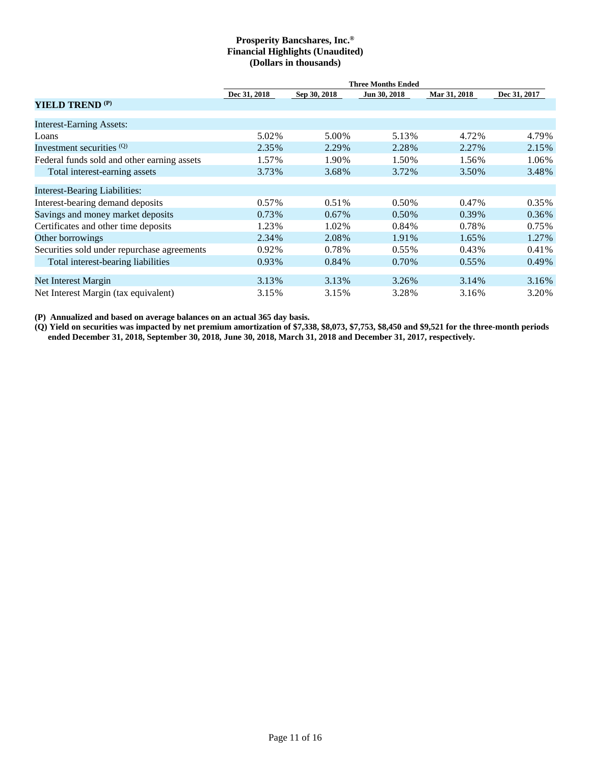|                                             | <b>Three Months Ended</b> |              |              |              |              |  |  |  |  |  |  |  |  |
|---------------------------------------------|---------------------------|--------------|--------------|--------------|--------------|--|--|--|--|--|--|--|--|
|                                             | Dec 31, 2018              | Sep 30, 2018 | Jun 30, 2018 | Mar 31, 2018 | Dec 31, 2017 |  |  |  |  |  |  |  |  |
| YIELD TREND <sup>(P)</sup>                  |                           |              |              |              |              |  |  |  |  |  |  |  |  |
| <b>Interest-Earning Assets:</b>             |                           |              |              |              |              |  |  |  |  |  |  |  |  |
| Loans                                       | 5.02%                     | 5.00%        | 5.13%        | 4.72%        | 4.79%        |  |  |  |  |  |  |  |  |
| Investment securities <sup>(Q)</sup>        | 2.35%                     | 2.29%        | 2.28%        | 2.27%        | 2.15%        |  |  |  |  |  |  |  |  |
| Federal funds sold and other earning assets | 1.57%                     | 1.90%        | 1.50%        | 1.56%        | 1.06%        |  |  |  |  |  |  |  |  |
| Total interest-earning assets               | 3.73%                     | 3.68%        | 3.72%        | 3.50%        | 3.48%        |  |  |  |  |  |  |  |  |
| <b>Interest-Bearing Liabilities:</b>        |                           |              |              |              |              |  |  |  |  |  |  |  |  |
| Interest-bearing demand deposits            | $0.57\%$                  | 0.51%        | 0.50%        | 0.47%        | 0.35%        |  |  |  |  |  |  |  |  |
| Savings and money market deposits           | 0.73%                     | $0.67\%$     | 0.50%        | 0.39%        | 0.36%        |  |  |  |  |  |  |  |  |
| Certificates and other time deposits        | 1.23%                     | 1.02%        | 0.84%        | 0.78%        | 0.75%        |  |  |  |  |  |  |  |  |
| Other borrowings                            | 2.34%                     | 2.08%        | 1.91%        | 1.65%        | 1.27%        |  |  |  |  |  |  |  |  |
| Securities sold under repurchase agreements | 0.92%                     | 0.78%        | $0.55\%$     | $0.43\%$     | 0.41%        |  |  |  |  |  |  |  |  |
| Total interest-bearing liabilities          | 0.93%                     | 0.84%        | 0.70%        | $0.55\%$     | 0.49%        |  |  |  |  |  |  |  |  |
| Net Interest Margin                         | 3.13%                     | 3.13%        | 3.26%        | 3.14%        | 3.16%        |  |  |  |  |  |  |  |  |
| Net Interest Margin (tax equivalent)        | 3.15%                     | 3.15%        | 3.28%        | 3.16%        | 3.20%        |  |  |  |  |  |  |  |  |

**(P) Annualized and based on average balances on an actual 365 day basis.** 

**(Q) Yield on securities was impacted by net premium amortization of \$7,338, \$8,073, \$7,753, \$8,450 and \$9,521 for the three-month periods ended December 31, 2018, September 30, 2018, June 30, 2018, March 31, 2018 and December 31, 2017, respectively.**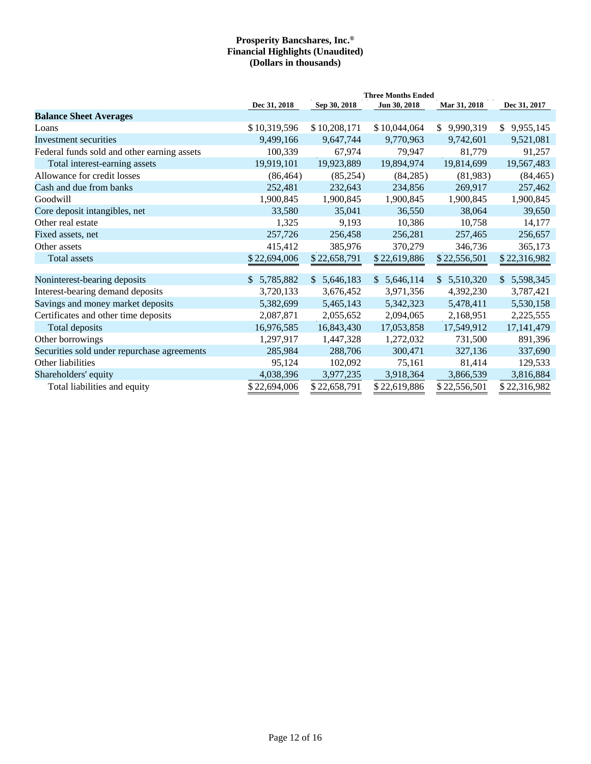|                                             | <b>Three Months Ended</b> |              |              |                 |                             |  |  |  |  |  |  |  |
|---------------------------------------------|---------------------------|--------------|--------------|-----------------|-----------------------------|--|--|--|--|--|--|--|
|                                             | Dec 31, 2018              | Sep 30, 2018 | Jun 30, 2018 | Mar 31, 2018    | Dec 31, 2017                |  |  |  |  |  |  |  |
| <b>Balance Sheet Averages</b>               |                           |              |              |                 |                             |  |  |  |  |  |  |  |
| Loans                                       | \$10,319,596              | \$10,208,171 | \$10,044,064 | 9,990,319<br>\$ | 9,955,145<br>$\mathbb{S}^-$ |  |  |  |  |  |  |  |
| Investment securities                       | 9,499,166                 | 9,647,744    | 9,770,963    | 9,742,601       | 9,521,081                   |  |  |  |  |  |  |  |
| Federal funds sold and other earning assets | 100,339                   | 67,974       | 79,947       | 81,779          | 91,257                      |  |  |  |  |  |  |  |
| Total interest-earning assets               | 19,919,101                | 19,923,889   | 19,894,974   | 19,814,699      | 19,567,483                  |  |  |  |  |  |  |  |
| Allowance for credit losses                 | (86, 464)                 | (85,254)     | (84,285)     | (81,983)        | (84, 465)                   |  |  |  |  |  |  |  |
| Cash and due from banks                     | 252,481                   | 232,643      | 234,856      | 269,917         | 257,462                     |  |  |  |  |  |  |  |
| Goodwill                                    | 1,900,845                 | 1,900,845    | 1,900,845    | 1,900,845       | 1,900,845                   |  |  |  |  |  |  |  |
| Core deposit intangibles, net               | 33,580                    | 35,041       | 36,550       | 38,064          | 39,650                      |  |  |  |  |  |  |  |
| Other real estate                           | 1,325                     | 9,193        | 10,386       | 10,758          | 14,177                      |  |  |  |  |  |  |  |
| Fixed assets, net                           | 257,726                   | 256,458      | 256,281      | 257,465         | 256,657                     |  |  |  |  |  |  |  |
| Other assets                                | 415,412                   | 385,976      | 370,279      | 346,736         | 365,173                     |  |  |  |  |  |  |  |
| Total assets                                | \$22,694,006              | \$22,658,791 | \$22,619,886 | \$22,556,501    | \$22,316,982                |  |  |  |  |  |  |  |
| Noninterest-bearing deposits                | \$5,785,882               | \$5,646,183  | \$5,646,114  | \$5,510,320     | 5,598,345<br>$\mathbb{S}$   |  |  |  |  |  |  |  |
| Interest-bearing demand deposits            | 3,720,133                 | 3,676,452    | 3,971,356    | 4,392,230       | 3,787,421                   |  |  |  |  |  |  |  |
| Savings and money market deposits           | 5,382,699                 | 5,465,143    | 5,342,323    | 5,478,411       | 5,530,158                   |  |  |  |  |  |  |  |
| Certificates and other time deposits        | 2,087,871                 | 2,055,652    | 2,094,065    | 2,168,951       | 2,225,555                   |  |  |  |  |  |  |  |
| Total deposits                              | 16,976,585                | 16,843,430   | 17,053,858   | 17,549,912      | 17,141,479                  |  |  |  |  |  |  |  |
| Other borrowings                            | 1,297,917                 | 1,447,328    | 1,272,032    | 731,500         | 891,396                     |  |  |  |  |  |  |  |
| Securities sold under repurchase agreements | 285,984                   | 288,706      | 300,471      | 327,136         | 337,690                     |  |  |  |  |  |  |  |
| Other liabilities                           | 95,124                    | 102,092      | 75,161       | 81,414          | 129,533                     |  |  |  |  |  |  |  |
| Shareholders' equity                        | 4,038,396                 | 3,977,235    | 3,918,364    | 3,866,539       | 3,816,884                   |  |  |  |  |  |  |  |
| Total liabilities and equity                | \$22,694,006              | \$22,658,791 | \$22,619,886 | \$22,556,501    | \$22,316,982                |  |  |  |  |  |  |  |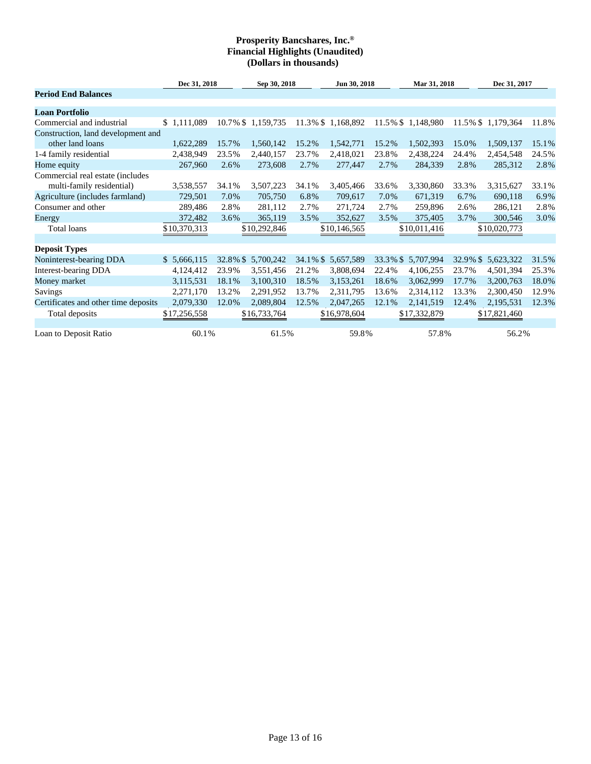|                                                               |              | Dec 31, 2018<br>Sep 30, 2018 |                   |       | Jun 30, 2018       |       | Mar 31, 2018       |          | Dec 31, 2017       |       |  |
|---------------------------------------------------------------|--------------|------------------------------|-------------------|-------|--------------------|-------|--------------------|----------|--------------------|-------|--|
| <b>Period End Balances</b>                                    |              |                              |                   |       |                    |       |                    |          |                    |       |  |
| <b>Loan Portfolio</b>                                         |              |                              |                   |       |                    |       |                    |          |                    |       |  |
| Commercial and industrial                                     | \$1,111,089  |                              | 10.7% \$1,159,735 |       | 11.3% \$1,168,892  |       | 11.5% \$1,148,980  |          | 11.5% \$ 1,179,364 | 11.8% |  |
| Construction, land development and                            |              |                              |                   |       |                    |       |                    |          |                    |       |  |
| other land loans                                              | 1,622,289    | 15.7%                        | 1,560,142         | 15.2% | 1,542,771          | 15.2% | 1,502,393          | 15.0%    | 1,509,137          | 15.1% |  |
| 1-4 family residential                                        | 2,438,949    | 23.5%                        | 2,440,157         | 23.7% | 2,418,021          | 23.8% | 2,438,224          | 24.4%    | 2,454,548          | 24.5% |  |
| Home equity                                                   | 267,960      | 2.6%                         | 273,608           | 2.7%  | 277,447            | 2.7%  | 284,339            | 2.8%     | 285,312            | 2.8%  |  |
| Commercial real estate (includes<br>multi-family residential) | 3,538,557    | 34.1%                        | 3,507,223         | 34.1% | 3,405,466          | 33.6% | 3,330,860          | 33.3%    | 3,315,627          | 33.1% |  |
| Agriculture (includes farmland)                               | 729,501      | 7.0%                         | 705,750           | 6.8%  | 709,617            | 7.0%  | 671,319            | 6.7%     | 690,118            | 6.9%  |  |
| Consumer and other                                            | 289,486      | 2.8%                         | 281,112           | 2.7%  | 271,724            | 2.7%  | 259,896            | 2.6%     | 286,121            | 2.8%  |  |
| Energy                                                        | 372,482      | 3.6%                         | 365,119           | 3.5%  | 352,627            | 3.5%  | 375,405            | 3.7%     | 300,546            | 3.0%  |  |
| Total loans                                                   | \$10,370,313 |                              | \$10,292,846      |       | \$10,146,565       |       | \$10,011,416       |          | \$10,020,773       |       |  |
| <b>Deposit Types</b>                                          |              |                              |                   |       |                    |       |                    |          |                    |       |  |
| Noninterest-bearing DDA                                       | \$5,666,115  | 32.8% \$                     | 5,700,242         |       | 34.1% \$ 5,657,589 |       | 33.3% \$ 5,707,994 | 32.9% \$ | 5,623,322          | 31.5% |  |
| Interest-bearing DDA                                          | 4,124,412    | 23.9%                        | 3,551,456         | 21.2% | 3,808,694          | 22.4% | 4,106,255          | 23.7%    | 4,501,394          | 25.3% |  |
| Money market                                                  | 3,115,531    | 18.1%                        | 3,100,310         | 18.5% | 3,153,261          | 18.6% | 3,062,999          | 17.7%    | 3,200,763          | 18.0% |  |
| <b>Savings</b>                                                | 2,271,170    | 13.2%                        | 2,291,952         | 13.7% | 2,311,795          | 13.6% | 2,314,112          | 13.3%    | 2,300,450          | 12.9% |  |
| Certificates and other time deposits                          | 2,079,330    | 12.0%                        | 2,089,804         | 12.5% | 2,047,265          | 12.1% | 2,141,519          | 12.4%    | 2,195,531          | 12.3% |  |
| Total deposits                                                | \$17,256,558 |                              | \$16,733,764      |       | \$16,978,604       |       | \$17,332,879       |          | \$17,821,460       |       |  |
| Loan to Deposit Ratio                                         | 60.1%        |                              | 61.5%             |       | 59.8%              |       | 57.8%              |          | 56.2%              |       |  |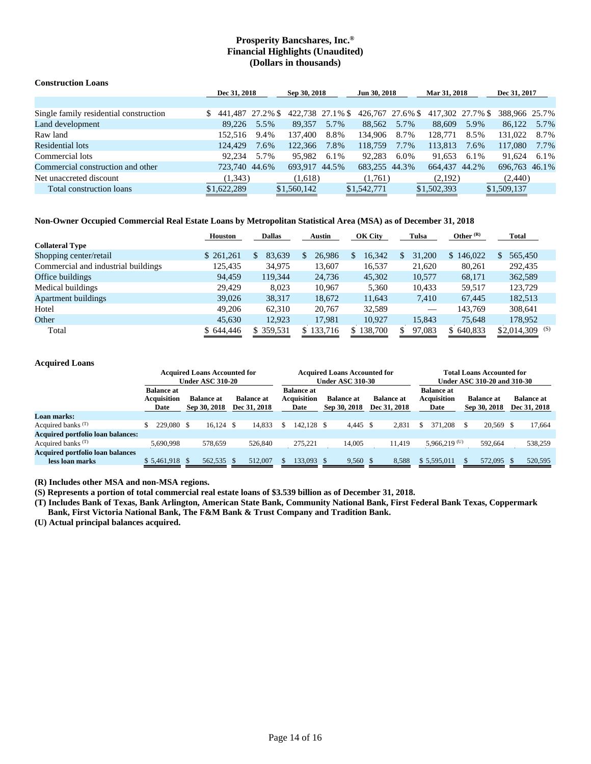| <b>Construction Loans</b>              |                  |              |                  |              |                  |              |                  |      |               |         |
|----------------------------------------|------------------|--------------|------------------|--------------|------------------|--------------|------------------|------|---------------|---------|
|                                        |                  | Dec 31, 2018 |                  | Sep 30, 2018 |                  | Jun 30, 2018 | Mar 31, 2018     |      | Dec 31, 2017  |         |
|                                        |                  |              |                  |              |                  |              |                  |      |               |         |
| Single family residential construction | 441.487 27.2% \$ |              | 422,738 27.1% \$ |              | 426,767 27.6% \$ |              | 417.302 27.7% \$ |      | 388,966 25.7% |         |
| Land development                       | 89.226           | 5.5%         | 89.357           | 5.7%         | 88,562           | 5.7%         | 88,609           | 5.9% | 86.122        | 5.7%    |
| Raw land                               | 152.516          | 9.4%         | 137,400          | 8.8%         | 134.906          | 8.7%         | 128,771          | 8.5% | 131.022       | 8.7%    |
| Residential lots                       | 124.429          | 7.6%         | 122,366          | 7.8%         | 118.759          | $7.7\%$      | 113,813          | 7.6% | 117.080       | $7.7\%$ |
| Commercial lots                        | 92.234           | 5.7%         | 95.982           | 6.1%         | 92.283           | 6.0%         | 91.653           | 6.1% | 91.624        | 6.1%    |
| Commercial construction and other      | 723,740 44.6%    |              | 693.917 44.5%    |              | 683,255 44.3%    |              | 664.437 44.2%    |      | 696,763 46.1% |         |
| Net unaccreted discount                | (1, 343)         |              | (1,618)          |              | (1,761)          |              | (2,192)          |      | (2,440)       |         |
| Total construction loans               | \$1,622,289      |              | \$1,560,142      |              | \$1,542,771      |              | \$1,502,393      |      | \$1,509,137   |         |

#### **Non-Owner Occupied Commercial Real Estate Loans by Metropolitan Statistical Area (MSA) as of December 31, 2018**

|                                     | <b>Houston</b> | <b>Dallas</b>           | <b>Austin</b> | OK City       | Tulsa  | Other $(R)$ | Total                    |
|-------------------------------------|----------------|-------------------------|---------------|---------------|--------|-------------|--------------------------|
| <b>Collateral Type</b>              |                |                         |               |               |        |             |                          |
| Shopping center/retail              | \$ 261,261     | 83,639<br><sup>\$</sup> | 26,986        | 16,342<br>\$. | 31,200 | \$146,022   | 565,450<br><sup>\$</sup> |
| Commercial and industrial buildings | 125,435        | 34,975                  | 13,607        | 16,537        | 21,620 | 80,261      | 292,435                  |
| Office buildings                    | 94.459         | 119.344                 | 24,736        | 45,302        | 10,577 | 68,171      | 362,589                  |
| Medical buildings                   | 29,429         | 8,023                   | 10,967        | 5,360         | 10,433 | 59,517      | 123,729                  |
| <b>Apartment buildings</b>          | 39,026         | 38,317                  | 18,672        | 11,643        | 7,410  | 67.445      | 182,513                  |
| Hotel                               | 49,206         | 62,310                  | 20,767        | 32,589        | $\sim$ | 143.769     | 308,641                  |
| Other                               | 45,630         | 12,923                  | 17,981        | 10,927        | 15,843 | 75,648      | 178,952                  |
| Total                               | \$644,446      | \$ 359,531              | \$133,716     | \$138,700     | 97,083 | \$640,833   | (S)<br>\$2,014,309       |

#### **Acquired Loans**

|                                                            | <b>Acquired Loans Accounted for</b><br><b>Under ASC 310-20</b> |  |                                   |  |                                   | <b>Acquired Loans Accounted for</b><br><b>Under ASC 310-30</b> |                                                 |  |                                   |  |                                   | <b>Total Loans Accounted for</b><br><b>Under ASC 310-20 and 310-30</b> |                                          |  |                                   |  |                                   |
|------------------------------------------------------------|----------------------------------------------------------------|--|-----------------------------------|--|-----------------------------------|----------------------------------------------------------------|-------------------------------------------------|--|-----------------------------------|--|-----------------------------------|------------------------------------------------------------------------|------------------------------------------|--|-----------------------------------|--|-----------------------------------|
|                                                            | <b>Balance at</b><br><b>Acquisition</b><br>Date                |  | <b>Balance at</b><br>Sep 30, 2018 |  | <b>Balance at</b><br>Dec 31, 2018 |                                                                | <b>Balance at</b><br><b>Acquisition</b><br>Date |  | <b>Balance at</b><br>Sep 30, 2018 |  | <b>Balance at</b><br>Dec 31, 2018 |                                                                        | <b>Balance</b> at<br>Acquisition<br>Date |  | <b>Balance at</b><br>Sep 30, 2018 |  | <b>Balance at</b><br>Dec 31, 2018 |
| Loan marks:                                                |                                                                |  |                                   |  |                                   |                                                                |                                                 |  |                                   |  |                                   |                                                                        |                                          |  |                                   |  |                                   |
| Acquired banks $(T)$                                       | 229,080                                                        |  | $16.124 \text{ }$ \$              |  | 14.833                            |                                                                | 142.128 \$                                      |  | 4.445 \$                          |  | 2,831                             |                                                                        | 371.208                                  |  | 20.569 \$                         |  | 17.664                            |
| <b>Acquired portfolio loan balances:</b>                   |                                                                |  |                                   |  |                                   |                                                                |                                                 |  |                                   |  |                                   |                                                                        |                                          |  |                                   |  |                                   |
| Acquired banks $(T)$                                       | 5.690.998                                                      |  | 578,659                           |  | 526,840                           |                                                                | 275,221                                         |  | 14.005                            |  | 11.419                            |                                                                        | $5,966,219$ <sup>(U)</sup>               |  | 592,664                           |  | 538,259                           |
| <b>Acquired portfolio loan balances</b><br>less loan marks | $$5,461,918$ \$                                                |  | 562,535 \$                        |  | 512,007                           |                                                                | 133.093 \$                                      |  | $9,560$ \$                        |  | 8,588                             |                                                                        | \$5,595,011                              |  | 572,095 \$                        |  | 520,595                           |

**(R) Includes other MSA and non-MSA regions.** 

**(S) Represents a portion of total commercial real estate loans of \$3.539 billion as of December 31, 2018.** 

**(T) Includes Bank of Texas, Bank Arlington, American State Bank, Community National Bank, First Federal Bank Texas, Coppermark Bank, First Victoria National Bank, The F&M Bank & Trust Company and Tradition Bank.** 

**(U) Actual principal balances acquired.**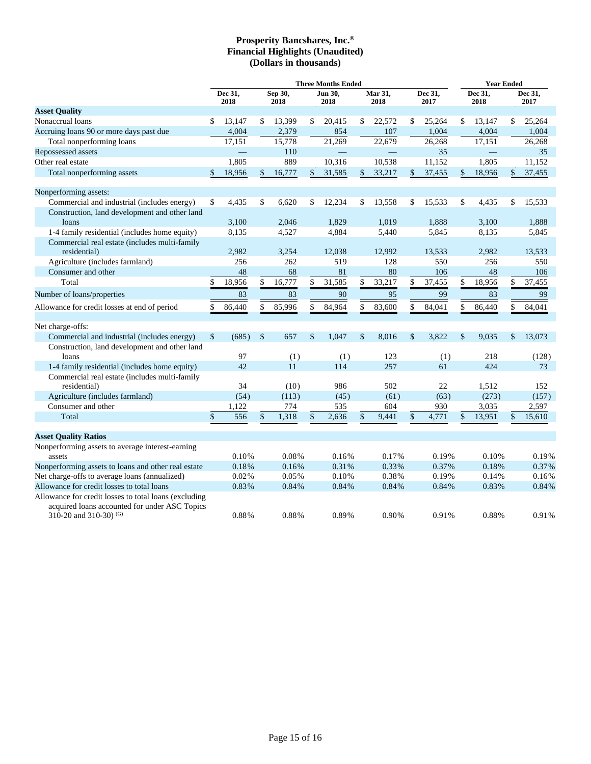|                                                                           | <b>Three Months Ended</b> |        |                 |        |                 |        |                 |        |                 |        |                 | <b>Year Ended</b> |                    |        |
|---------------------------------------------------------------------------|---------------------------|--------|-----------------|--------|-----------------|--------|-----------------|--------|-----------------|--------|-----------------|-------------------|--------------------|--------|
|                                                                           | Dec 31,<br>2018           |        | Sep 30,<br>2018 |        | Jun 30,<br>2018 |        | Mar 31,<br>2018 |        | Dec 31,<br>2017 |        | Dec 31,<br>2018 |                   | Dec 31,<br>2017    |        |
| <b>Asset Quality</b>                                                      |                           |        |                 |        |                 |        |                 |        |                 |        |                 |                   |                    |        |
| Nonaccrual loans                                                          | \$                        | 13,147 | \$              | 13,399 | \$              | 20,415 | \$              | 22,572 | \$              | 25,264 | \$              | 13,147            | \$                 | 25,264 |
| Accruing loans 90 or more days past due                                   |                           | 4,004  |                 | 2,379  |                 | 854    |                 | 107    |                 | 1,004  |                 | 4,004             |                    | 1,004  |
| Total nonperforming loans                                                 |                           | 17,151 |                 | 15,778 |                 | 21,269 |                 | 22,679 |                 | 26,268 |                 | 17,151            |                    | 26,268 |
| Repossessed assets                                                        |                           |        |                 | 110    |                 |        |                 |        |                 | 35     |                 |                   |                    | 35     |
| Other real estate                                                         |                           | 1,805  |                 | 889    |                 | 10,316 |                 | 10,538 |                 | 11,152 |                 | 1,805             |                    | 11,152 |
| Total nonperforming assets                                                | $\mathbf{\hat{S}}$        | 18,956 | \$              | 16,777 | $\mathcal{S}$   | 31,585 | $\mathbf{s}$    | 33,217 | $\mathcal{S}$   | 37,455 | \$              | 18,956            | $\mathbf{\hat{S}}$ | 37,455 |
| Nonperforming assets:                                                     |                           |        |                 |        |                 |        |                 |        |                 |        |                 |                   |                    |        |
| Commercial and industrial (includes energy)                               | \$                        | 4,435  | \$              | 6,620  | \$              | 12,234 | \$              | 13,558 | \$              | 15,533 | \$              | 4,435             | \$                 | 15,533 |
| Construction, land development and other land                             |                           |        |                 |        |                 |        |                 |        |                 |        |                 |                   |                    |        |
| loans                                                                     |                           | 3,100  |                 | 2,046  |                 | 1,829  |                 | 1,019  |                 | 1,888  |                 | 3,100             |                    | 1,888  |
| 1-4 family residential (includes home equity)                             |                           | 8,135  |                 | 4,527  |                 | 4,884  |                 | 5,440  |                 | 5,845  |                 | 8,135             |                    | 5,845  |
| Commercial real estate (includes multi-family                             |                           |        |                 |        |                 |        |                 |        |                 |        |                 |                   |                    |        |
| residential)                                                              |                           | 2,982  |                 | 3,254  |                 | 12,038 |                 | 12,992 |                 | 13,533 |                 | 2,982             |                    | 13,533 |
| Agriculture (includes farmland)                                           |                           | 256    |                 | 262    |                 | 519    |                 | 128    |                 | 550    |                 | 256               |                    | 550    |
| Consumer and other                                                        |                           | 48     |                 | 68     |                 | 81     |                 | 80     |                 | 106    |                 | 48                |                    | 106    |
| Total                                                                     | \$                        | 18,956 | \$              | 16,777 | \$              | 31,585 | \$              | 33,217 | \$              | 37,455 | \$              | 18,956            | \$                 | 37,455 |
| Number of loans/properties                                                |                           | 83     |                 | 83     |                 | 90     |                 | 95     |                 | 99     |                 | 83                |                    | 99     |
| Allowance for credit losses at end of period                              | \$                        | 86,440 | \$              | 85,996 | \$              | 84,964 | \$              | 83,600 | \$              | 84,041 | \$              | 86,440            | \$                 | 84,041 |
| Net charge-offs:                                                          |                           |        |                 |        |                 |        |                 |        |                 |        |                 |                   |                    |        |
| Commercial and industrial (includes energy)                               | \$                        | (685)  | \$              | 657    | $\mathsf{\$}$   | 1.047  | \$              | 8.016  | \$              | 3,822  | $\mathsf{\$}$   | 9.035             | $\mathcal{S}$      | 13.073 |
| Construction, land development and other land                             |                           |        |                 |        |                 |        |                 |        |                 |        |                 |                   |                    |        |
| loans                                                                     |                           | 97     |                 | (1)    |                 | (1)    |                 | 123    |                 | (1)    |                 | 218               |                    | (128)  |
| 1-4 family residential (includes home equity)                             |                           | 42     |                 | 11     |                 | 114    |                 | 257    |                 | 61     |                 | 424               |                    | 73     |
| Commercial real estate (includes multi-family                             |                           |        |                 |        |                 |        |                 |        |                 |        |                 |                   |                    |        |
| residential)                                                              |                           | 34     |                 | (10)   |                 | 986    |                 | 502    |                 | 22     |                 | 1,512             |                    | 152    |
| Agriculture (includes farmland)                                           |                           | (54)   |                 | (113)  |                 | (45)   |                 | (61)   |                 | (63)   |                 | (273)             |                    | (157)  |
| Consumer and other                                                        |                           | 1,122  |                 | 774    |                 | 535    |                 | 604    |                 | 930    |                 | 3,035             |                    | 2,597  |
| Total                                                                     | \$                        | 556    | \$              | 1,318  | $\mathcal{S}$   | 2,636  | \$              | 9,441  | \$              | 4,771  | \$              | 13,951            | \$                 | 15,610 |
| <b>Asset Quality Ratios</b>                                               |                           |        |                 |        |                 |        |                 |        |                 |        |                 |                   |                    |        |
| Nonperforming assets to average interest-earning                          |                           |        |                 |        |                 |        |                 |        |                 |        |                 |                   |                    |        |
| assets                                                                    |                           | 0.10%  |                 | 0.08%  |                 | 0.16%  |                 | 0.17%  |                 | 0.19%  |                 | 0.10%             |                    | 0.19%  |
| Nonperforming assets to loans and other real estate                       |                           | 0.18%  |                 | 0.16%  |                 | 0.31%  |                 | 0.33%  |                 | 0.37%  |                 | 0.18%             |                    | 0.37%  |
| Net charge-offs to average loans (annualized)                             |                           | 0.02%  |                 | 0.05%  |                 | 0.10%  |                 | 0.38%  |                 | 0.19%  |                 | 0.14%             |                    | 0.16%  |
| Allowance for credit losses to total loans                                |                           | 0.83%  |                 | 0.84%  |                 | 0.84%  |                 | 0.84%  |                 | 0.84%  |                 | 0.83%             |                    | 0.84%  |
| Allowance for credit losses to total loans (excluding                     |                           |        |                 |        |                 |        |                 |        |                 |        |                 |                   |                    |        |
| acquired loans accounted for under ASC Topics<br>310-20 and 310-30) $(G)$ |                           | 0.88%  |                 | 0.88%  |                 | 0.89%  |                 | 0.90%  |                 | 0.91%  |                 | 0.88%             |                    | 0.91%  |